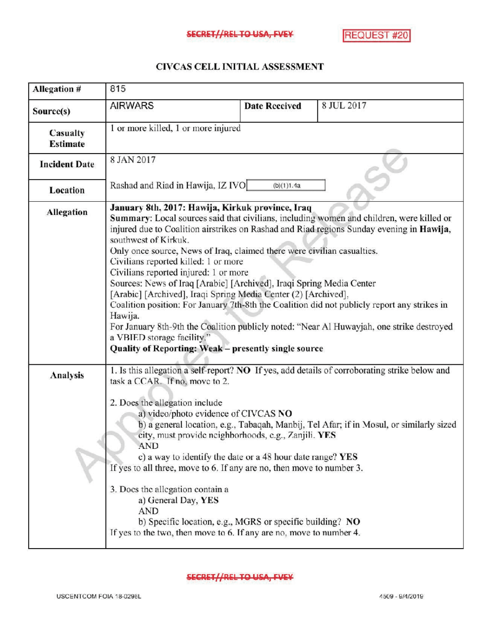## CIVCASCELLINITIALASSESSMENT

| Allegation #                | 815                                                                                                                                                                                                                                                                                                                                                                                                                                                                                                                                                                                                                                                                                                                                                                                                                                                                  |                      |                                                                                                                                                                                          |
|-----------------------------|----------------------------------------------------------------------------------------------------------------------------------------------------------------------------------------------------------------------------------------------------------------------------------------------------------------------------------------------------------------------------------------------------------------------------------------------------------------------------------------------------------------------------------------------------------------------------------------------------------------------------------------------------------------------------------------------------------------------------------------------------------------------------------------------------------------------------------------------------------------------|----------------------|------------------------------------------------------------------------------------------------------------------------------------------------------------------------------------------|
| Source(s)                   | <b>AIRWARS</b>                                                                                                                                                                                                                                                                                                                                                                                                                                                                                                                                                                                                                                                                                                                                                                                                                                                       | <b>Date Received</b> | 8 JUL 2017                                                                                                                                                                               |
| Casualty<br><b>Estimate</b> | 1 or more killed, 1 or more injured                                                                                                                                                                                                                                                                                                                                                                                                                                                                                                                                                                                                                                                                                                                                                                                                                                  |                      |                                                                                                                                                                                          |
| <b>Incident Date</b>        | 8 JAN 2017                                                                                                                                                                                                                                                                                                                                                                                                                                                                                                                                                                                                                                                                                                                                                                                                                                                           |                      |                                                                                                                                                                                          |
| Location                    | Rashad and Riad in Hawija, IZ IVO                                                                                                                                                                                                                                                                                                                                                                                                                                                                                                                                                                                                                                                                                                                                                                                                                                    | (b)(1)1.4a           |                                                                                                                                                                                          |
| <b>Allegation</b>           | January 8th, 2017: Hawija, Kirkuk province, Iraq<br>Summary: Local sources said that civilians, including women and children, were killed or<br>injured due to Coalition airstrikes on Rashad and Riad regions Sunday evening in Hawija,<br>southwest of Kirkuk.<br>Only once source, News of Iraq, claimed there were civilian casualties.<br>Civilians reported killed: 1 or more<br>Civilians reported injured: 1 or more<br>Sources: News of Iraq [Arabic] [Archived], Iraqi Spring Media Center<br>[Arabic] [Archived], Iraqi Spring Media Center (2) [Archived],<br>Coalition position: For January 7th-8th the Coalition did not publicly report any strikes in<br>Hawija.<br>For January 8th-9th the Coalition publicly noted: "Near Al Huwayjah, one strike destroyed<br>a VBIED storage facility."<br>Quality of Reporting: Weak - presently single source |                      |                                                                                                                                                                                          |
| Analysis                    | task a CCAR. If no, move to 2.<br>2. Does the allegation include<br>a) video/photo evidence of CIVCAS NO<br>city, must provide neighborhoods, e.g., Zanjili. YES<br>AND<br>c) a way to identify the date or a 48 hour date range? YES<br>If yes to all three, move to 6. If any are no, then move to number 3.<br>3. Does the allegation contain a<br>a) General Day, YES<br>AND<br>b) Specific location, e.g., MGRS or specific building? NO<br>If yes to the two, then move to 6. If any are no, move to number 4.                                                                                                                                                                                                                                                                                                                                                 |                      | 1. Is this allegation a self-report? NO If yes, add details of corroborating strike below and<br>b) a general location, e.g., Tabaqah, Manbij, Tel Afar; if in Mosul, or similarly sized |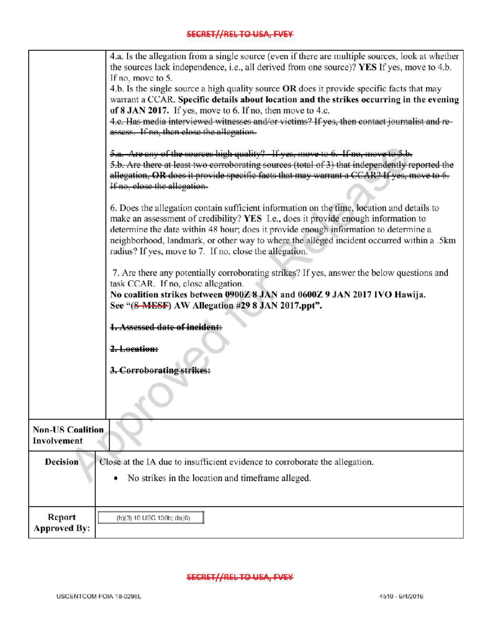|                                        | 4.a. Is the allegation from a single source (even if there are multiple sources, look at whether<br>the sources lack independence, i.e., all derived from one source)? YES If yes, move to 4.b.<br>If no, move to 5.<br>4.b. Is the single source a high quality source OR does it provide specific facts that may<br>warrant a CCAR. Specific details about location and the strikes occurring in the evening<br>of 8 JAN 2017. If yes, move to 6. If no, then move to 4.c.<br>4.c. Has media interviewed witnesses and/or victims? If yes, then contact journalist and re-<br>assess. If no, then close the allegation. |  |  |
|----------------------------------------|---------------------------------------------------------------------------------------------------------------------------------------------------------------------------------------------------------------------------------------------------------------------------------------------------------------------------------------------------------------------------------------------------------------------------------------------------------------------------------------------------------------------------------------------------------------------------------------------------------------------------|--|--|
|                                        | 5.a. Are any of the sources high quality? If yes, move to 6. If no, move to 5.b.<br>5.b. Are there at least two corroborating sources (total of 3) that independently reported the<br>allegation, OR does it provide specific facts that may warrant a CCAR? If yes, move to 6.<br>If no, close the allegation.                                                                                                                                                                                                                                                                                                           |  |  |
|                                        | 6. Does the allegation contain sufficient information on the time, location and details to<br>make an assessment of credibility? YES I.e., does it provide enough information to<br>determine the date within 48 hour; does it provide enough information to determine a<br>neighborhood, landmark, or other way to where the alleged incident occurred within a .5km<br>radius? If yes, move to 7. If no, close the allegation.                                                                                                                                                                                          |  |  |
|                                        | 7. Are there any potentially corroborating strikes? If yes, answer the below questions and<br>task CCAR. If no, close allegation.<br>No coalition strikes between 0900Z 8 JAN and 0600Z 9 JAN 2017 IVO Hawija.<br>See "(S-MESF) AW Allegation #29 8 JAN 2017.ppt".                                                                                                                                                                                                                                                                                                                                                        |  |  |
|                                        | 1. Assessed date of incident:<br>2. Location:                                                                                                                                                                                                                                                                                                                                                                                                                                                                                                                                                                             |  |  |
|                                        | 3. Corroborating strikes:                                                                                                                                                                                                                                                                                                                                                                                                                                                                                                                                                                                                 |  |  |
| <b>Non-US Coalition</b><br>Involvement |                                                                                                                                                                                                                                                                                                                                                                                                                                                                                                                                                                                                                           |  |  |
| <b>Decision</b>                        | Close at the IA due to insufficient evidence to corroborate the allegation.<br>No strikes in the location and timeframe alleged.<br>٠                                                                                                                                                                                                                                                                                                                                                                                                                                                                                     |  |  |
| Report<br><b>Approved By:</b>          | (b)(3) 10 USC 130b; (b)(6)                                                                                                                                                                                                                                                                                                                                                                                                                                                                                                                                                                                                |  |  |